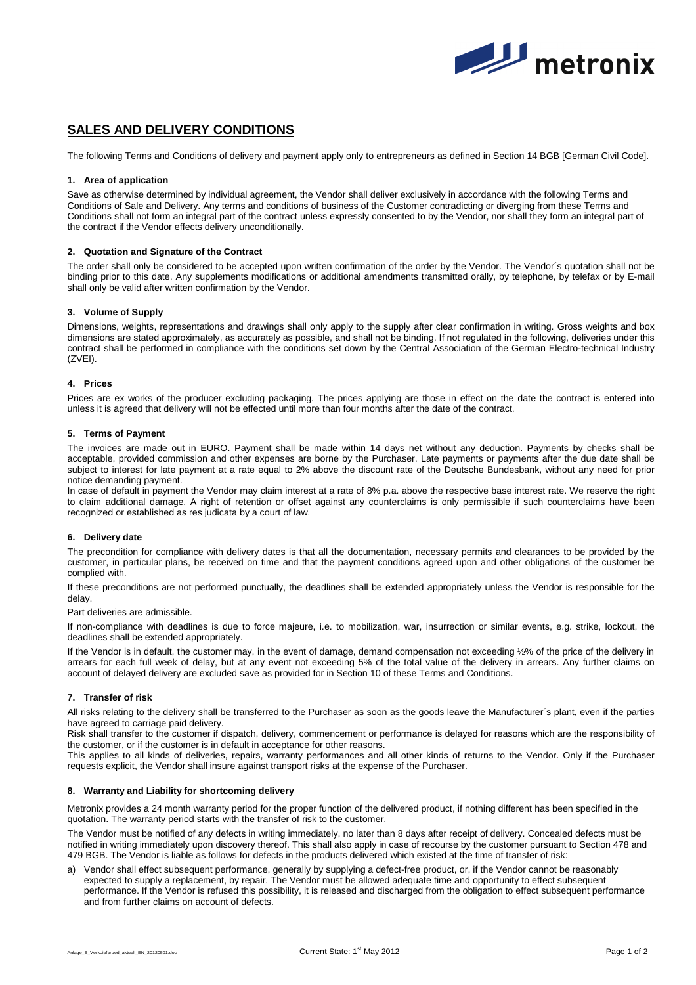

# **SALES AND DELIVERY CONDITIONS**

The following Terms and Conditions of delivery and payment apply only to entrepreneurs as defined in Section 14 BGB [German Civil Code].

## **1. Area of application**

Save as otherwise determined by individual agreement, the Vendor shall deliver exclusively in accordance with the following Terms and Conditions of Sale and Delivery. Any terms and conditions of business of the Customer contradicting or diverging from these Terms and Conditions shall not form an integral part of the contract unless expressly consented to by the Vendor, nor shall they form an integral part of the contract if the Vendor effects delivery unconditionally.

## **2. Quotation and Signature of the Contract**

The order shall only be considered to be accepted upon written confirmation of the order by the Vendor. The Vendor´s quotation shall not be binding prior to this date. Any supplements modifications or additional amendments transmitted orally, by telephone, by telefax or by E-mail shall only be valid after written confirmation by the Vendor.

# **3. Volume of Supply**

Dimensions, weights, representations and drawings shall only apply to the supply after clear confirmation in writing. Gross weights and box dimensions are stated approximately, as accurately as possible, and shall not be binding. If not regulated in the following, deliveries under this contract shall be performed in compliance with the conditions set down by the Central Association of the German Electro-technical Industry (ZVEI).

## **4. Prices**

Prices are ex works of the producer excluding packaging. The prices applying are those in effect on the date the contract is entered into unless it is agreed that delivery will not be effected until more than four months after the date of the contract.

## **5. Terms of Payment**

The invoices are made out in EURO. Payment shall be made within 14 days net without any deduction. Payments by checks shall be acceptable, provided commission and other expenses are borne by the Purchaser. Late payments or payments after the due date shall be subject to interest for late payment at a rate equal to 2% above the discount rate of the Deutsche Bundesbank, without any need for prior notice demanding payment.

In case of default in payment the Vendor may claim interest at a rate of 8% p.a. above the respective base interest rate. We reserve the right to claim additional damage. A right of retention or offset against any counterclaims is only permissible if such counterclaims have been recognized or established as res judicata by a court of law.

## **6. Delivery date**

The precondition for compliance with delivery dates is that all the documentation, necessary permits and clearances to be provided by the customer, in particular plans, be received on time and that the payment conditions agreed upon and other obligations of the customer be complied with.

If these preconditions are not performed punctually, the deadlines shall be extended appropriately unless the Vendor is responsible for the delay.

Part deliveries are admissible.

If non-compliance with deadlines is due to force majeure, i.e. to mobilization, war, insurrection or similar events, e.g. strike, lockout, the deadlines shall be extended appropriately.

If the Vendor is in default, the customer may, in the event of damage, demand compensation not exceeding ½% of the price of the delivery in arrears for each full week of delay, but at any event not exceeding 5% of the total value of the delivery in arrears. Any further claims on account of delayed delivery are excluded save as provided for in Section 10 of these Terms and Conditions.

#### **7. Transfer of risk**

All risks relating to the delivery shall be transferred to the Purchaser as soon as the goods leave the Manufacturer´s plant, even if the parties have agreed to carriage paid delivery.

Risk shall transfer to the customer if dispatch, delivery, commencement or performance is delayed for reasons which are the responsibility of the customer, or if the customer is in default in acceptance for other reasons.

This applies to all kinds of deliveries, repairs, warranty performances and all other kinds of returns to the Vendor. Only if the Purchaser requests explicit, the Vendor shall insure against transport risks at the expense of the Purchaser.

## **8. Warranty and Liability for shortcoming delivery**

Metronix provides a 24 month warranty period for the proper function of the delivered product, if nothing different has been specified in the quotation. The warranty period starts with the transfer of risk to the customer.

The Vendor must be notified of any defects in writing immediately, no later than 8 days after receipt of delivery. Concealed defects must be notified in writing immediately upon discovery thereof. This shall also apply in case of recourse by the customer pursuant to Section 478 and 479 BGB. The Vendor is liable as follows for defects in the products delivered which existed at the time of transfer of risk:

a) Vendor shall effect subsequent performance, generally by supplying a defect-free product, or, if the Vendor cannot be reasonably expected to supply a replacement, by repair. The Vendor must be allowed adequate time and opportunity to effect subsequent performance. If the Vendor is refused this possibility, it is released and discharged from the obligation to effect subsequent performance and from further claims on account of defects.